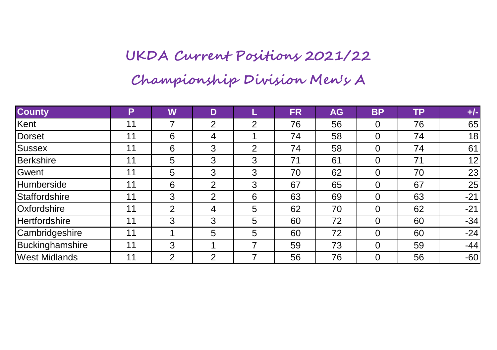## **UKDA Current Positions 2021/22**

**Championship Division Men's A**

| <b>County</b>        | P  | W | D |   | <b>FR</b> | <b>AG</b> | <b>BP</b> | <b>TP</b> | $+/-$ |
|----------------------|----|---|---|---|-----------|-----------|-----------|-----------|-------|
| Kent                 | 11 |   | 2 | 2 | 76        | 56        | 0         | 76        | 65    |
| Dorset               | 11 | 6 | 4 |   | 74        | 58        | 0         | 74        | 18    |
| Sussex               | 11 | 6 | 3 | 2 | 74        | 58        | 0         | 74        | 61    |
| Berkshire            | 11 | 5 | 3 | 3 | 71        | 61        | 0         | 71        | 12    |
| Gwent                | 11 | 5 | 3 | 3 | 70        | 62        | 0         | 70        | 23    |
| Humberside           | 11 | 6 | 2 | 3 | 67        | 65        | 0         | 67        | 25    |
| Staffordshire        | 11 | 3 | 2 | 6 | 63        | 69        | 0         | 63        | $-21$ |
| Oxfordshire          | 11 | 2 | 4 | 5 | 62        | 70        | 0         | 62        | $-21$ |
| Hertfordshire        | 11 | 3 | 3 | 5 | 60        | 72        | 0         | 60        | $-34$ |
| Cambridgeshire       | 11 |   | 5 | 5 | 60        | 72        | 0         | 60        | $-24$ |
| Buckinghamshire      | 11 | 3 |   |   | 59        | 73        | 0         | 59        | $-44$ |
| <b>West Midlands</b> | 11 | っ | 2 |   | 56        | 76        | 0         | 56        | $-60$ |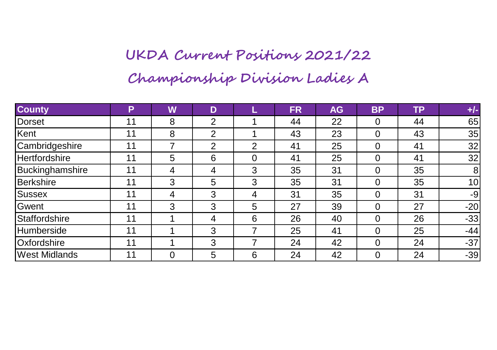## **UKDA Current Positions 2021/22 Championship Division Ladies A**

| <b>County</b>        | Р  | W | D              |          | <b>FR</b> | <b>AG</b> | <b>BP</b> | <b>TP</b> | $+/-$ |
|----------------------|----|---|----------------|----------|-----------|-----------|-----------|-----------|-------|
| Dorset               | 11 | 8 | 2              |          | 44        | 22        | 0         | 44        | 65    |
| Kent                 | 11 | 8 | 2              |          | 43        | 23        | 0         | 43        | 35    |
| Cambridgeshire       | 11 |   | 2              | 2        | 41        | 25        | 0         | 41        | 32    |
| <b>Hertfordshire</b> | 11 | 5 | 6              | $\Omega$ | 41        | 25        | 0         | 41        | 32    |
| Buckinghamshire      | 11 | 4 | $\overline{4}$ | 3        | 35        | 31        | 0         | 35        | 8     |
| Berkshire            | 11 | 3 | 5              | 3        | 35        | 31        | 0         | 35        | 10    |
| Sussex               | 11 | 4 | 3              | 4        | 31        | 35        | 0         | 31        | $-9$  |
| Gwent                | 11 | 3 | 3              | 5        | 27        | 39        | 0         | 27        | $-20$ |
| Staffordshire        | 11 |   | 4              | 6        | 26        | 40        | 0         | 26        | $-33$ |
| Humberside           | 11 |   | 3              | 7        | 25        | 41        | 0         | 25        | $-44$ |
| Oxfordshire          | 11 |   | 3              |          | 24        | 42        | 0         | 24        | $-37$ |
| <b>West Midlands</b> | 11 | 0 | 5              | 6        | 24        | 42        | 0         | 24        | $-39$ |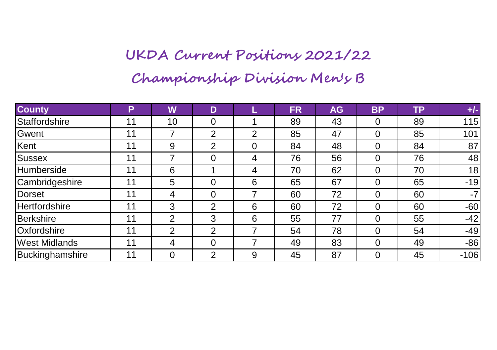## **UKDA Current Positions 2021/22 Championship Division Men's B**

| <b>County</b>        | P  | W  | D              |   | <b>FR</b> | <b>AG</b> | <b>BP</b> | <b>TP</b> | $+/-$  |
|----------------------|----|----|----------------|---|-----------|-----------|-----------|-----------|--------|
| Staffordshire        | 11 | 10 | $\Omega$       |   | 89        | 43        | 0         | 89        | 115    |
| Gwent                | 11 | 7  | 2              | 2 | 85        | 47        | 0         | 85        | 101    |
| Kent                 | 11 | 9  | 2              | 0 | 84        | 48        | 0         | 84        | 87     |
| Sussex               | 11 |    | 0              | 4 | 76        | 56        | 0         | 76        | 48     |
| Humberside           | 11 | 6  |                | 4 | 70        | 62        | 0         | 70        | 18     |
| Cambridgeshire       | 11 | 5  | 0              | 6 | 65        | 67        | 0         | 65        | $-19$  |
| Dorset               | 11 | 4  | 0              | 7 | 60        | 72        | 0         | 60        | $-7$   |
| <b>Hertfordshire</b> | 11 | 3  | $\overline{2}$ | 6 | 60        | 72        | 0         | 60        | $-60$  |
| Berkshire            | 11 | 2  | 3              | 6 | 55        | 77        | 0         | 55        | $-42$  |
| Oxfordshire          | 11 | 2  | 2              |   | 54        | 78        | 0         | 54        | $-49$  |
| <b>West Midlands</b> | 11 | 4  | $\Omega$       |   | 49        | 83        | 0         | 49        | $-86$  |
| Buckinghamshire      | 11 | 0  | 2              | 9 | 45        | 87        | 0         | 45        | $-106$ |